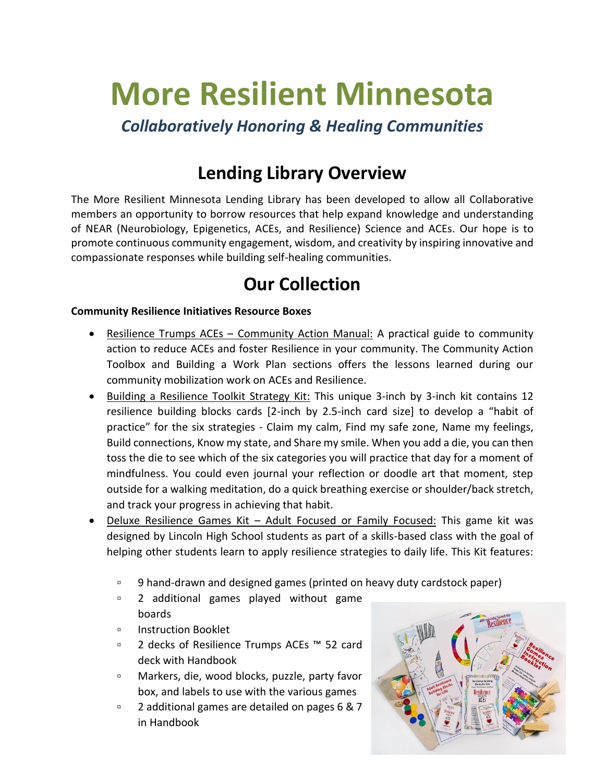# **More Resilient Minnesota**

*Collaboratively Honoring & Healing Communities* 

# **Lending Library Overview**

The More Resilient Minnesota Lending Library has been developed to allow all Collaborative members an opportunity to borrow resources that help expand knowledge and understanding of NEAR (Neurobiology, Epigenetics, ACEs, and Resilience) Science and ACEs. Our hope is to promote continuous community engagement, wisdom, and creativity by inspiring innovative and compassionate responses while building self-healing communities.

# **Our Collection**

# **Community Resilience Initiatives Resource Boxes**

- Resilience Trumps ACEs Community Action Manual: A practical guide to community action to reduce ACEs and foster Resilience in your community. The Community Action Toolbox and Building a Work Plan sections offers the lessons learned during our community mobilization work on ACEs and Resilience.
- Building a Resilience Toolkit Strategy Kit: This unique 3-inch by 3-inch kit contains 12 resilience building blocks cards [2-inch by 2.5-inch card size] to develop a "habit of practice" for the six strategies - Claim my calm, Find my safe zone, Name my feelings, Build connections, Know my state, and Share my smile. When you add a die, you can then toss the die to see which of the six categories you will practice that day for a moment of mindfulness. You could even journal your reflection or doodle art that moment, step outside for a walking meditation, do a quick breathing exercise or shoulder/back stretch, and track your progress in achieving that habit.
- Deluxe Resilience Games Kit Adult Focused or Family Focused: This game kit was designed by Lincoln High School students as part of a skills-based class with the goal of helping other students learn to apply resilience strategies to daily life. This Kit features:
	- 9 hand-drawn and designed games (printed on heavy duty cardstock paper)
	- 2 additional games played without game boards
	- □ Instruction Booklet
	- 2 decks of Resilience Trumps ACEs ™ 52 card deck with Handbook
	- Markers, die, wood blocks, puzzle, party favor box, and labels to use with the various games
	- 2 additional games are detailed on pages 6 & 7 in Handbook

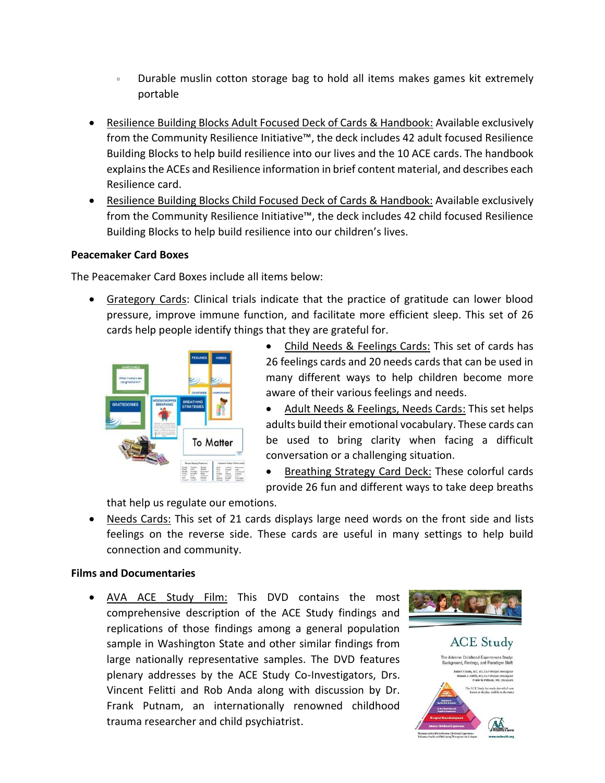- Durable muslin cotton storage bag to hold all items makes games kit extremely portable
- Resilience Building Blocks Adult Focused Deck of Cards & Handbook: Available exclusively from the Community Resilience Initiative™, the deck includes 42 adult focused Resilience Building Blocks to help build resilience into our lives and the 10 ACE cards. The handbook explains the ACEs and Resilience information in brief content material, and describes each Resilience card.
- Resilience Building Blocks Child Focused Deck of Cards & Handbook: Available exclusively from the Community Resilience Initiative™, the deck includes 42 child focused Resilience Building Blocks to help build resilience into our children's lives.

# **Peacemaker Card Boxes**

The Peacemaker Card Boxes include all items below:

 Grategory Cards: Clinical trials indicate that the practice of gratitude can lower blood pressure, improve immune function, and facilitate more efficient sleep. This set of 26 cards help people identify things that they are grateful for.



- Child Needs & Feelings Cards: This set of cards has 26 feelings cards and 20 needs cards that can be used in many different ways to help children become more aware of their various feelings and needs.
- Adult Needs & Feelings, Needs Cards: This set helps adults build their emotional vocabulary. These cards can be used to bring clarity when facing a difficult conversation or a challenging situation.
- Breathing Strategy Card Deck: These colorful cards provide 26 fun and different ways to take deep breaths

that help us regulate our emotions.

 Needs Cards: This set of 21 cards displays large need words on the front side and lists feelings on the reverse side. These cards are useful in many settings to help build connection and community.

## **Films and Documentaries**

• AVA ACE Study Film: This DVD contains the most comprehensive description of the ACE Study findings and replications of those findings among a general population sample in Washington State and other similar findings from large nationally representative samples. The DVD features plenary addresses by the ACE Study Co-Investigators, Drs. Vincent Felitti and Rob Anda along with discussion by Dr. Frank Putnam, an internationally renowned childhood trauma researcher and child psychiatrist.



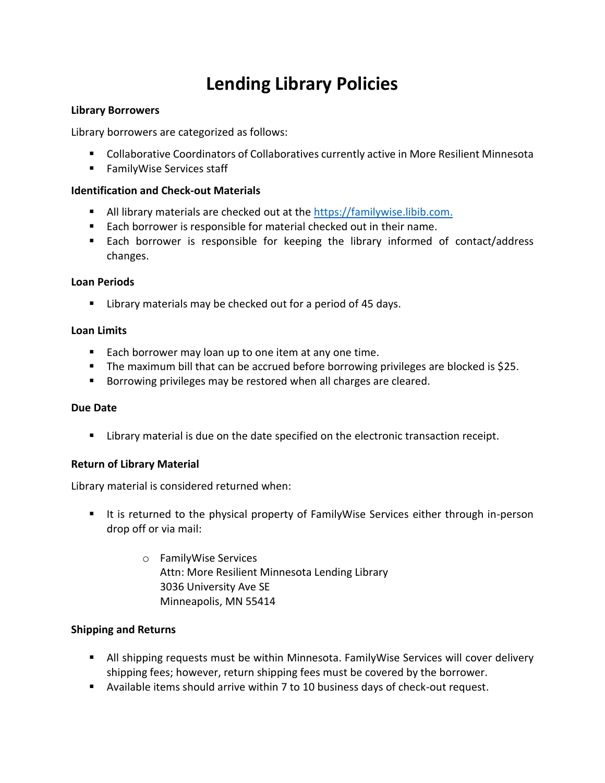# **Lending Library Policies**

#### **Library Borrowers**

Library borrowers are categorized as follows:

- Collaborative Coordinators of Collaboratives currently active in More Resilient Minnesota
- **FamilyWise Services staff**

#### **Identification and Check-out Materials**

- All library materials are checked out at the [https://familywise.libib.com.](https://familywise.libib.com./)
- Each borrower is responsible for material checked out in their name.
- Each borrower is responsible for keeping the library informed of contact/address changes.

#### **Loan Periods**

**E** Library materials may be checked out for a period of 45 days.

#### **Loan Limits**

- Each borrower may loan up to one item at any one time.
- **The maximum bill that can be accrued before borrowing privileges are blocked is \$25.**
- Borrowing privileges may be restored when all charges are cleared.

## **Due Date**

Library material is due on the date specified on the electronic transaction receipt.

## **Return of Library Material**

Library material is considered returned when:

- If it is returned to the physical property of FamilyWise Services either through in-person drop off or via mail:
	- o FamilyWise Services Attn: More Resilient Minnesota Lending Library 3036 University Ave SE Minneapolis, MN 55414

## **Shipping and Returns**

- All shipping requests must be within Minnesota. FamilyWise Services will cover delivery shipping fees; however, return shipping fees must be covered by the borrower.
- Available items should arrive within 7 to 10 business days of check-out request.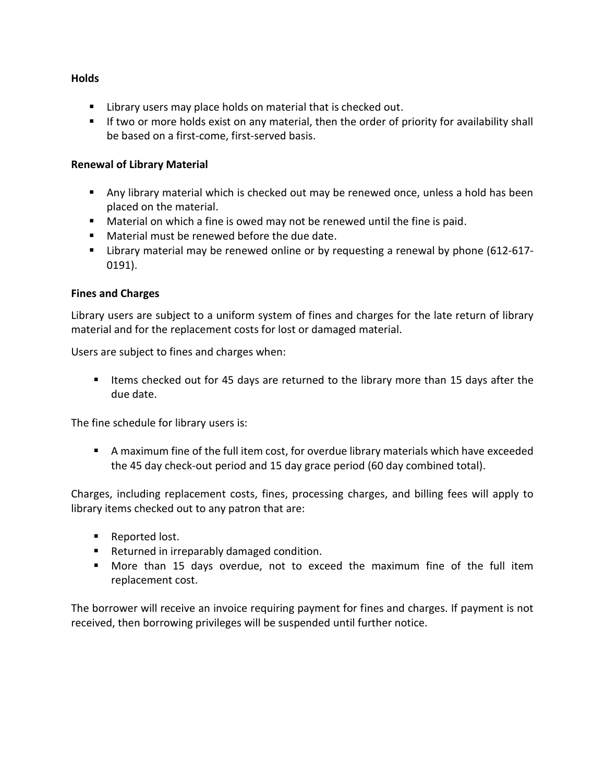## **Holds**

- **E** Library users may place holds on material that is checked out.
- If two or more holds exist on any material, then the order of priority for availability shall be based on a first-come, first-served basis.

#### **Renewal of Library Material**

- Any library material which is checked out may be renewed once, unless a hold has been placed on the material.
- Material on which a fine is owed may not be renewed until the fine is paid.
- **Material must be renewed before the due date.**
- Library material may be renewed online or by requesting a renewal by phone (612-617- 0191).

## **Fines and Charges**

Library users are subject to a uniform system of fines and charges for the late return of library material and for the replacement costs for lost or damaged material.

Users are subject to fines and charges when:

■ Items checked out for 45 days are returned to the library more than 15 days after the due date.

The fine schedule for library users is:

 A maximum fine of the full item cost, for overdue library materials which have exceeded the 45 day check-out period and 15 day grace period (60 day combined total).

Charges, including replacement costs, fines, processing charges, and billing fees will apply to library items checked out to any patron that are:

- Reported lost.
- **Returned in irreparably damaged condition.**
- More than 15 days overdue, not to exceed the maximum fine of the full item replacement cost.

The borrower will receive an invoice requiring payment for fines and charges. If payment is not received, then borrowing privileges will be suspended until further notice.